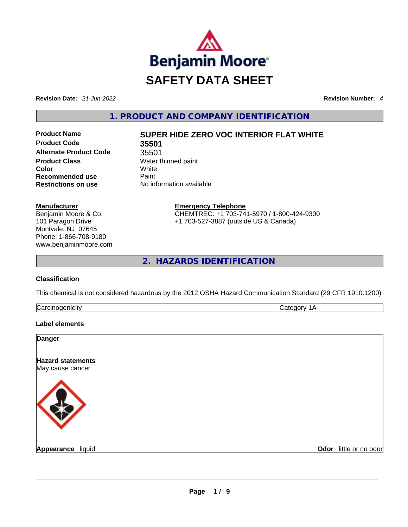

**Revision Date:** *21-Jun-2022* **Revision Number:** *4*

**1. PRODUCT AND COMPANY IDENTIFICATION** 

**Product Code 35501 Alternate Product Code** 35501 **Product Class Water thinned paint Color** White **Recommended use Paint Restrictions on use** No information available

# **Product Name SUPER HIDE ZERO VOC INTERIOR FLAT WHITE**

**Manufacturer** Benjamin Moore & Co. 101 Paragon Drive Montvale, NJ 07645 Phone: 1-866-708-9180 www.benjaminmoore.com **Emergency Telephone** CHEMTREC: +1 703-741-5970 / 1-800-424-9300 +1 703-527-3887 (outside US & Canada)

**2. HAZARDS IDENTIFICATION** 

## **Classification**

This chemical is not considered hazardous by the 2012 OSHA Hazard Communication Standard (29 CFR 1910.1200)

| ∽<br>. |  |
|--------|--|
|        |  |

## **Label elements**

| <b>Danger</b>                                |                        |
|----------------------------------------------|------------------------|
| <b>Hazard statements</b><br>May cause cancer |                        |
|                                              |                        |
| Appearance liquid                            | Odor little or no odor |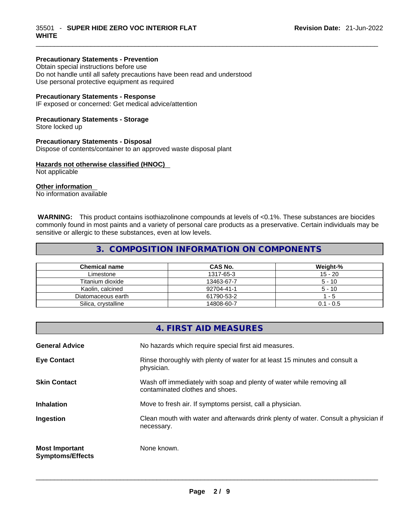## **Precautionary Statements - Prevention**

Obtain special instructions before use Do not handle until all safety precautions have been read and understood Use personal protective equipment as required

#### **Precautionary Statements - Response**

IF exposed or concerned: Get medical advice/attention

#### **Precautionary Statements - Storage**

Store locked up

#### **Precautionary Statements - Disposal**

Dispose of contents/container to an approved waste disposal plant

#### **Hazards not otherwise classified (HNOC)**

Not applicable

#### **Other information**

No information available

 **WARNING:** This product contains isothiazolinone compounds at levels of <0.1%. These substances are biocides commonly found in most paints and a variety of personal care products as a preservative. Certain individuals may be sensitive or allergic to these substances, even at low levels.

 $\_$  ,  $\_$  ,  $\_$  ,  $\_$  ,  $\_$  ,  $\_$  ,  $\_$  ,  $\_$  ,  $\_$  ,  $\_$  ,  $\_$  ,  $\_$  ,  $\_$  ,  $\_$  ,  $\_$  ,  $\_$  ,  $\_$  ,  $\_$  ,  $\_$  ,  $\_$  ,  $\_$  ,  $\_$  ,  $\_$  ,  $\_$  ,  $\_$  ,  $\_$  ,  $\_$  ,  $\_$  ,  $\_$  ,  $\_$  ,  $\_$  ,  $\_$  ,  $\_$  ,  $\_$  ,  $\_$  ,  $\_$  ,  $\_$  ,

## **3. COMPOSITION INFORMATION ON COMPONENTS**

| <b>Chemical name</b> | CAS No.    | Weight-%    |
|----------------------|------------|-------------|
| Limestone            | 1317-65-3  | $15 - 20$   |
| Titanium dioxide     | 13463-67-7 | $5 - 10$    |
| Kaolin, calcined     | 92704-41-1 | $5 - 10$    |
| Diatomaceous earth   | 61790-53-2 | - 5         |
| Silica, crystalline  | 14808-60-7 | $0.1 - 0.5$ |

|                                                  | 4. FIRST AID MEASURES                                                                                    |
|--------------------------------------------------|----------------------------------------------------------------------------------------------------------|
| <b>General Advice</b>                            | No hazards which require special first aid measures.                                                     |
| <b>Eye Contact</b>                               | Rinse thoroughly with plenty of water for at least 15 minutes and consult a<br>physician.                |
| <b>Skin Contact</b>                              | Wash off immediately with soap and plenty of water while removing all<br>contaminated clothes and shoes. |
| <b>Inhalation</b>                                | Move to fresh air. If symptoms persist, call a physician.                                                |
| Ingestion                                        | Clean mouth with water and afterwards drink plenty of water. Consult a physician if<br>necessary.        |
| <b>Most Important</b><br><b>Symptoms/Effects</b> | None known.                                                                                              |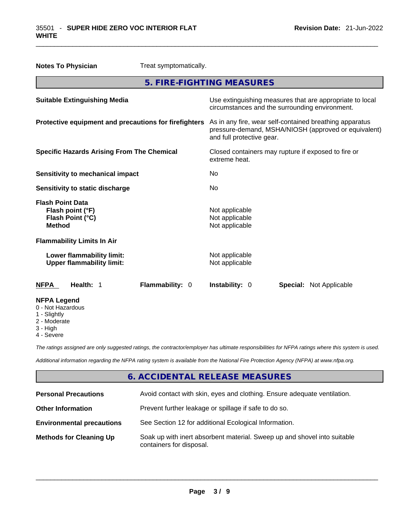| <b>Notes To Physician</b>                                                        |                                   | Treat symptomatically.                                                                                                                       |                |  |                                |
|----------------------------------------------------------------------------------|-----------------------------------|----------------------------------------------------------------------------------------------------------------------------------------------|----------------|--|--------------------------------|
|                                                                                  |                                   | 5. FIRE-FIGHTING MEASURES                                                                                                                    |                |  |                                |
| <b>Suitable Extinguishing Media</b>                                              |                                   | Use extinguishing measures that are appropriate to local<br>circumstances and the surrounding environment.                                   |                |  |                                |
| Protective equipment and precautions for firefighters                            |                                   | As in any fire, wear self-contained breathing apparatus<br>pressure-demand, MSHA/NIOSH (approved or equivalent)<br>and full protective gear. |                |  |                                |
| <b>Specific Hazards Arising From The Chemical</b>                                |                                   | Closed containers may rupture if exposed to fire or<br>extreme heat.                                                                         |                |  |                                |
| <b>Sensitivity to mechanical impact</b>                                          |                                   | No                                                                                                                                           |                |  |                                |
| <b>Sensitivity to static discharge</b>                                           |                                   | No.                                                                                                                                          |                |  |                                |
| <b>Flash Point Data</b><br>Flash point (°F)<br>Flash Point (°C)<br><b>Method</b> |                                   | Not applicable<br>Not applicable<br>Not applicable                                                                                           |                |  |                                |
|                                                                                  | <b>Flammability Limits In Air</b> |                                                                                                                                              |                |  |                                |
| Lower flammability limit:<br><b>Upper flammability limit:</b>                    |                                   | Not applicable<br>Not applicable                                                                                                             |                |  |                                |
| <b>NFPA</b>                                                                      | Health: 1                         | Flammability: 0                                                                                                                              | Instability: 0 |  | <b>Special: Not Applicable</b> |
| <b>NFPA Legend</b><br>0 - Not Hazardous<br>1 - Slightly                          |                                   |                                                                                                                                              |                |  |                                |

 $\_$  ,  $\_$  ,  $\_$  ,  $\_$  ,  $\_$  ,  $\_$  ,  $\_$  ,  $\_$  ,  $\_$  ,  $\_$  ,  $\_$  ,  $\_$  ,  $\_$  ,  $\_$  ,  $\_$  ,  $\_$  ,  $\_$  ,  $\_$  ,  $\_$  ,  $\_$  ,  $\_$  ,  $\_$  ,  $\_$  ,  $\_$  ,  $\_$  ,  $\_$  ,  $\_$  ,  $\_$  ,  $\_$  ,  $\_$  ,  $\_$  ,  $\_$  ,  $\_$  ,  $\_$  ,  $\_$  ,  $\_$  ,  $\_$  ,

- 
- 2 Moderate
- 3 High
- 4 Severe

*The ratings assigned are only suggested ratings, the contractor/employer has ultimate responsibilities for NFPA ratings where this system is used.* 

*Additional information regarding the NFPA rating system is available from the National Fire Protection Agency (NFPA) at www.nfpa.org.* 

# **6. ACCIDENTAL RELEASE MEASURES**

| <b>Personal Precautions</b>      | Avoid contact with skin, eyes and clothing. Ensure adequate ventilation.                             |  |
|----------------------------------|------------------------------------------------------------------------------------------------------|--|
| <b>Other Information</b>         | Prevent further leakage or spillage if safe to do so.                                                |  |
| <b>Environmental precautions</b> | See Section 12 for additional Ecological Information.                                                |  |
| <b>Methods for Cleaning Up</b>   | Soak up with inert absorbent material. Sweep up and shovel into suitable<br>containers for disposal. |  |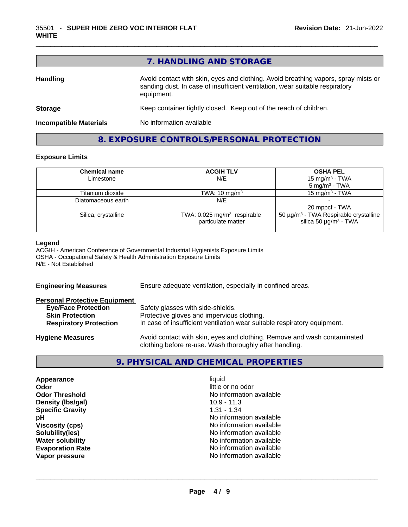# **7. HANDLING AND STORAGE**

 $\_$  ,  $\_$  ,  $\_$  ,  $\_$  ,  $\_$  ,  $\_$  ,  $\_$  ,  $\_$  ,  $\_$  ,  $\_$  ,  $\_$  ,  $\_$  ,  $\_$  ,  $\_$  ,  $\_$  ,  $\_$  ,  $\_$  ,  $\_$  ,  $\_$  ,  $\_$  ,  $\_$  ,  $\_$  ,  $\_$  ,  $\_$  ,  $\_$  ,  $\_$  ,  $\_$  ,  $\_$  ,  $\_$  ,  $\_$  ,  $\_$  ,  $\_$  ,  $\_$  ,  $\_$  ,  $\_$  ,  $\_$  ,  $\_$  ,

| <b>Handling</b>               | Avoid contact with skin, eyes and clothing. Avoid breathing vapors, spray mists or<br>sanding dust. In case of insufficient ventilation, wear suitable respiratory<br>equipment. |  |
|-------------------------------|----------------------------------------------------------------------------------------------------------------------------------------------------------------------------------|--|
| <b>Storage</b>                | Keep container tightly closed. Keep out of the reach of children.                                                                                                                |  |
| <b>Incompatible Materials</b> | No information available                                                                                                                                                         |  |
|                               |                                                                                                                                                                                  |  |

## **8. EXPOSURE CONTROLS/PERSONAL PROTECTION**

#### **Exposure Limits**

| <b>Chemical name</b> | <b>ACGIH TLV</b>                        | <b>OSHA PEL</b>                                   |
|----------------------|-----------------------------------------|---------------------------------------------------|
| Limestone            | N/E                                     | 15 mg/m <sup>3</sup> - TWA                        |
|                      |                                         | $5 \text{ mg/m}^3$ - TWA                          |
| Titanium dioxide     | TWA: $10 \text{ mg/m}^3$                | $15 \text{ mg/m}^3$ - TWA                         |
| Diatomaceous earth   | N/E                                     |                                                   |
|                      |                                         | 20 mppcf - TWA                                    |
| Silica, crystalline  | TWA: 0.025 mg/m <sup>3</sup> respirable | 50 μg/m <sup>3</sup> - TWA Respirable crystalline |
|                      | particulate matter                      | silica 50 $\mu$ g/m <sup>3</sup> - TWA            |
|                      |                                         |                                                   |

#### **Legend**

ACGIH - American Conference of Governmental Industrial Hygienists Exposure Limits OSHA - Occupational Safety & Health Administration Exposure Limits N/E - Not Established

| Ensure adequate ventilation, especially in confined areas.                                                                          |  |  |
|-------------------------------------------------------------------------------------------------------------------------------------|--|--|
|                                                                                                                                     |  |  |
| Safety glasses with side-shields.                                                                                                   |  |  |
| Protective gloves and impervious clothing.                                                                                          |  |  |
| In case of insufficient ventilation wear suitable respiratory equipment.                                                            |  |  |
| Avoid contact with skin, eyes and clothing. Remove and wash contaminated<br>clothing before re-use. Wash thoroughly after handling. |  |  |
|                                                                                                                                     |  |  |

# **9. PHYSICAL AND CHEMICAL PROPERTIES**

| Appearance              | liauid                   |  |
|-------------------------|--------------------------|--|
| Odor                    | little or no odor        |  |
| <b>Odor Threshold</b>   | No information available |  |
| Density (Ibs/gal)       | $10.9 - 11.3$            |  |
| <b>Specific Gravity</b> | $1.31 - 1.34$            |  |
| pH                      | No information available |  |
| <b>Viscosity (cps)</b>  | No information available |  |
| Solubility(ies)         | No information available |  |
| <b>Water solubility</b> | No information available |  |
| <b>Evaporation Rate</b> | No information available |  |
| Vapor pressure          | No information available |  |
|                         |                          |  |
|                         |                          |  |
|                         |                          |  |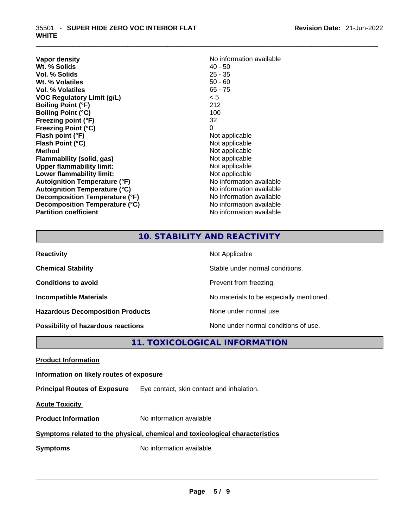| Vapor density                        | No information available |
|--------------------------------------|--------------------------|
| Wt. % Solids                         | 40 - 50                  |
| Vol. % Solids                        | $25 - 35$                |
| Wt. % Volatiles                      | $50 - 60$                |
| Vol. % Volatiles                     | $65 - 75$                |
| <b>VOC Regulatory Limit (g/L)</b>    | < 5                      |
| <b>Boiling Point (°F)</b>            | 212                      |
| <b>Boiling Point (°C)</b>            | 100                      |
| Freezing point (°F)                  | 32                       |
| <b>Freezing Point (°C)</b>           | 0                        |
| Flash point (°F)                     | Not applicable           |
| Flash Point (°C)                     | Not applicable           |
| <b>Method</b>                        | Not applicable           |
| <b>Flammability (solid, gas)</b>     | Not applicable           |
| <b>Upper flammability limit:</b>     | Not applicable           |
| Lower flammability limit:            | Not applicable           |
| <b>Autoignition Temperature (°F)</b> | No information available |
| <b>Autoignition Temperature (°C)</b> | No information available |
| Decomposition Temperature (°F)       | No information available |
| Decomposition Temperature (°C)       | No information available |
| <b>Partition coefficient</b>         | No information available |

 $\_$  ,  $\_$  ,  $\_$  ,  $\_$  ,  $\_$  ,  $\_$  ,  $\_$  ,  $\_$  ,  $\_$  ,  $\_$  ,  $\_$  ,  $\_$  ,  $\_$  ,  $\_$  ,  $\_$  ,  $\_$  ,  $\_$  ,  $\_$  ,  $\_$  ,  $\_$  ,  $\_$  ,  $\_$  ,  $\_$  ,  $\_$  ,  $\_$  ,  $\_$  ,  $\_$  ,  $\_$  ,  $\_$  ,  $\_$  ,  $\_$  ,  $\_$  ,  $\_$  ,  $\_$  ,  $\_$  ,  $\_$  ,  $\_$  ,

# **10. STABILITY AND REACTIVITY**

| <b>Reactivity</b>                         | Not Applicable                           |
|-------------------------------------------|------------------------------------------|
| <b>Chemical Stability</b>                 | Stable under normal conditions.          |
| <b>Conditions to avoid</b>                | Prevent from freezing.                   |
| <b>Incompatible Materials</b>             | No materials to be especially mentioned. |
| <b>Hazardous Decomposition Products</b>   | None under normal use.                   |
| <b>Possibility of hazardous reactions</b> | None under normal conditions of use.     |

**11. TOXICOLOGICAL INFORMATION** 

| <b>Product Information</b> |
|----------------------------|
|----------------------------|

## **Information on likely routes of exposure**

**Principal Routes of Exposure** Eye contact, skin contact and inhalation.

**Acute Toxicity** 

**Product Information** No information available

## **Symptoms related to the physical, chemical and toxicological characteristics**

**Symptoms** No information available **Note that the set of the set of the set of the set of the set of the set of the set of the set of the set of the set of the set of the set of the set of the set of the set of the set of**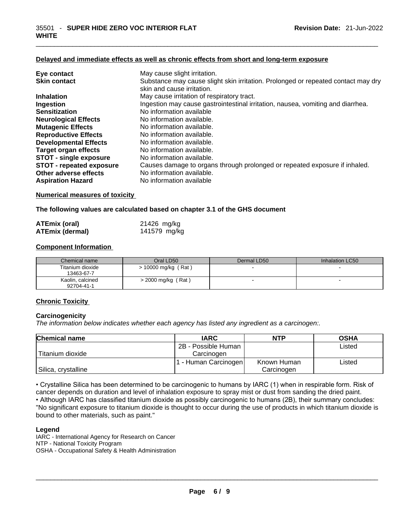#### **Delayed and immediate effects as well as chronic effects from short and long-term exposure**

| Eye contact                     | May cause slight irritation.                                                      |
|---------------------------------|-----------------------------------------------------------------------------------|
| <b>Skin contact</b>             | Substance may cause slight skin irritation. Prolonged or repeated contact may dry |
|                                 | skin and cause irritation.                                                        |
| <b>Inhalation</b>               | May cause irritation of respiratory tract.                                        |
| Ingestion                       | Ingestion may cause gastrointestinal irritation, nausea, vomiting and diarrhea.   |
| <b>Sensitization</b>            | No information available                                                          |
| <b>Neurological Effects</b>     | No information available.                                                         |
| <b>Mutagenic Effects</b>        | No information available.                                                         |
| <b>Reproductive Effects</b>     | No information available.                                                         |
| <b>Developmental Effects</b>    | No information available.                                                         |
| Target organ effects            | No information available.                                                         |
| <b>STOT - single exposure</b>   | No information available.                                                         |
| <b>STOT - repeated exposure</b> | Causes damage to organs through prolonged or repeated exposure if inhaled.        |
| Other adverse effects           | No information available.                                                         |
| <b>Aspiration Hazard</b>        | No information available                                                          |

 $\_$  ,  $\_$  ,  $\_$  ,  $\_$  ,  $\_$  ,  $\_$  ,  $\_$  ,  $\_$  ,  $\_$  ,  $\_$  ,  $\_$  ,  $\_$  ,  $\_$  ,  $\_$  ,  $\_$  ,  $\_$  ,  $\_$  ,  $\_$  ,  $\_$  ,  $\_$  ,  $\_$  ,  $\_$  ,  $\_$  ,  $\_$  ,  $\_$  ,  $\_$  ,  $\_$  ,  $\_$  ,  $\_$  ,  $\_$  ,  $\_$  ,  $\_$  ,  $\_$  ,  $\_$  ,  $\_$  ,  $\_$  ,  $\_$  ,

#### **Numerical measures of toxicity**

**The following values are calculated based on chapter 3.1 of the GHS document**

| <b>ATEmix (oral)</b>   | 21426 mg/kg  |
|------------------------|--------------|
| <b>ATEmix (dermal)</b> | 141579 mg/kg |

#### **Component Information**

| Chemical name                  | Oral LD50             | Dermal LD50              | Inhalation LC50          |
|--------------------------------|-----------------------|--------------------------|--------------------------|
| Titanium dioxide<br>13463-67-7 | $> 10000$ mg/kg (Rat) | $\overline{\phantom{0}}$ |                          |
| Kaolin, calcined<br>92704-41-1 | $>$ 2000 mg/kg (Rat)  | $\overline{\phantom{0}}$ | $\overline{\phantom{0}}$ |

#### **Chronic Toxicity**

#### **Carcinogenicity**

*The information below indicates whether each agency has listed any ingredient as a carcinogen:.* 

| <b>Chemical name</b> | <b>IARC</b>          | NTP         | <b>OSHA</b> |
|----------------------|----------------------|-------------|-------------|
|                      | 2B - Possible Human  |             | Listed      |
| Titanium dioxide     | Carcinogen           |             |             |
|                      | 1 - Human Carcinogen | Known Human | Listed      |
| Silica, crystalline  |                      | Carcinogen  |             |

• Crystalline Silica has been determined to be carcinogenic to humans by IARC (1) when in respirable form. Risk of cancer depends on duration and level of inhalation exposure to spray mist or dust from sanding the dried paint.

• Although IARC has classified titanium dioxide as possibly carcinogenic to humans (2B), their summary concludes: "No significant exposure to titanium dioxide is thought to occur during the use of products in which titanium dioxide is bound to other materials, such as paint."

#### **Legend**

IARC - International Agency for Research on Cancer NTP - National Toxicity Program OSHA - Occupational Safety & Health Administration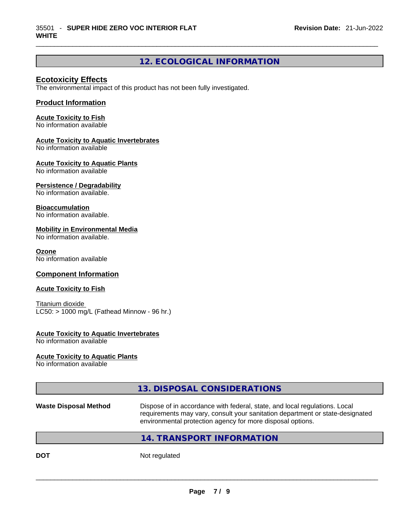# **12. ECOLOGICAL INFORMATION**

 $\_$  ,  $\_$  ,  $\_$  ,  $\_$  ,  $\_$  ,  $\_$  ,  $\_$  ,  $\_$  ,  $\_$  ,  $\_$  ,  $\_$  ,  $\_$  ,  $\_$  ,  $\_$  ,  $\_$  ,  $\_$  ,  $\_$  ,  $\_$  ,  $\_$  ,  $\_$  ,  $\_$  ,  $\_$  ,  $\_$  ,  $\_$  ,  $\_$  ,  $\_$  ,  $\_$  ,  $\_$  ,  $\_$  ,  $\_$  ,  $\_$  ,  $\_$  ,  $\_$  ,  $\_$  ,  $\_$  ,  $\_$  ,  $\_$  ,

## **Ecotoxicity Effects**

The environmental impact of this product has not been fully investigated.

## **Product Information**

#### **Acute Toxicity to Fish**

No information available

#### **Acute Toxicity to Aquatic Invertebrates**

No information available

## **Acute Toxicity to Aquatic Plants**

No information available

## **Persistence / Degradability**

No information available.

#### **Bioaccumulation**

No information available.

#### **Mobility in Environmental Media**

No information available.

#### **Ozone**

No information available

## **Component Information**

#### **Acute Toxicity to Fish**

Titanium dioxide  $LC50:$  > 1000 mg/L (Fathead Minnow - 96 hr.)

#### **Acute Toxicity to Aquatic Invertebrates**

No information available

#### **Acute Toxicity to Aquatic Plants**

No information available

# **13. DISPOSAL CONSIDERATIONS**

#### **Waste Disposal Method** Dispose of in accordance with federal, state, and local regulations. Local requirements may vary, consult your sanitation department or state-designated environmental protection agency for more disposal options.

## **14. TRANSPORT INFORMATION**

**DOT** Not regulated  $\blacksquare$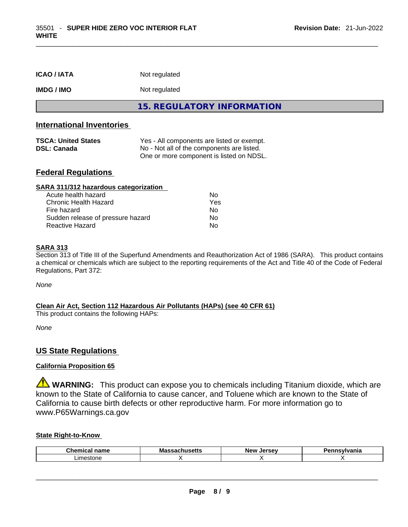| <b>ICAO/IATA</b>  | Not regulated              |
|-------------------|----------------------------|
| <b>IMDG / IMO</b> | Not regulated              |
|                   | 15. REGULATORY INFORMATION |

 $\_$  ,  $\_$  ,  $\_$  ,  $\_$  ,  $\_$  ,  $\_$  ,  $\_$  ,  $\_$  ,  $\_$  ,  $\_$  ,  $\_$  ,  $\_$  ,  $\_$  ,  $\_$  ,  $\_$  ,  $\_$  ,  $\_$  ,  $\_$  ,  $\_$  ,  $\_$  ,  $\_$  ,  $\_$  ,  $\_$  ,  $\_$  ,  $\_$  ,  $\_$  ,  $\_$  ,  $\_$  ,  $\_$  ,  $\_$  ,  $\_$  ,  $\_$  ,  $\_$  ,  $\_$  ,  $\_$  ,  $\_$  ,  $\_$  ,

## **International Inventories**

| <b>TSCA: United States</b> | Yes - All components are listed or exempt. |  |
|----------------------------|--------------------------------------------|--|
| <b>DSL: Canada</b>         | No - Not all of the components are listed. |  |
|                            | One or more component is listed on NDSL.   |  |

## **Federal Regulations**

| SARA 311/312 hazardous categorization |     |  |
|---------------------------------------|-----|--|
| Acute health hazard                   | Nο  |  |
| <b>Chronic Health Hazard</b>          | Yes |  |
| Fire hazard                           | No  |  |
| Sudden release of pressure hazard     | Nο  |  |
| <b>Reactive Hazard</b>                | No  |  |

#### **SARA 313**

Section 313 of Title III of the Superfund Amendments and Reauthorization Act of 1986 (SARA). This product contains a chemical or chemicals which are subject to the reporting requirements of the Act and Title 40 of the Code of Federal Regulations, Part 372:

*None*

## **Clean Air Act,Section 112 Hazardous Air Pollutants (HAPs) (see 40 CFR 61)**

This product contains the following HAPs:

*None*

## **US State Regulations**

## **California Proposition 65**

**WARNING:** This product can expose you to chemicals including Titanium dioxide, which are known to the State of California to cause cancer, and Toluene which are known to the State of California to cause birth defects or other reproductive harm. For more information go to www.P65Warnings.ca.gov

#### **State Right-to-Know**

| Chemi<br>- - - - - - -<br>name | Mas<br>ວບແວ<br>-- | New<br>Jersev | snovihionio<br>'lle. |
|--------------------------------|-------------------|---------------|----------------------|
| imestone                       |                   |               |                      |